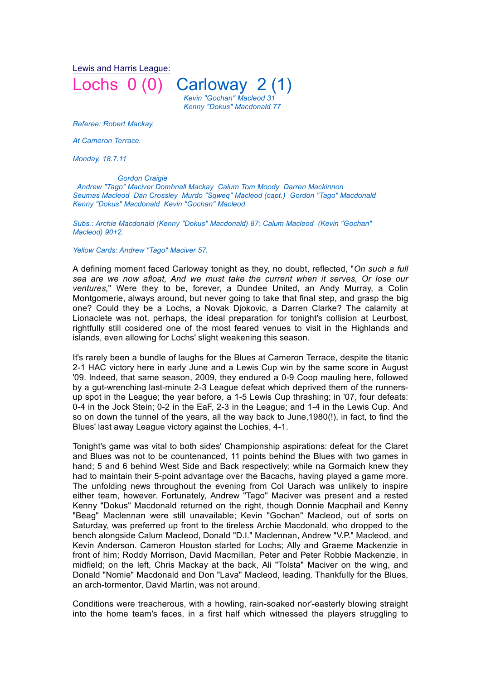Lewis and Harris League:

Lochs 0 (0) Carloway 2 (1)  *Kevin "Gochan" Macleod 31 Kenny "Dokus" Macdonald 77*

*Referee: Robert Mackay.*

*At Cameron Terrace.* 

*Monday, 18.7.11* 

 *Gordon Craigie*

*Andrew "Tago" Maciver Domhnall Mackay Calum Tom Moody Darren Mackinnon Seumas Macleod Dan Crossley Murdo "Sqweq" Macleod (capt.) Gordon "Tago" Macdonald Kenny "Dokus" Macdonald Kevin "Gochan" Macleod*

*Subs.: Archie Macdonald (Kenny "Dokus" Macdonald) 87; Calum Macleod (Kevin "Gochan" Macleod) 90+2.*

*Yellow Cards: Andrew "Tago" Maciver 57.* 

A defining moment faced Carloway tonight as they, no doubt, reflected, "*On such a full sea are we now afloat, And we must take the current when it serves, Or lose our ventures,*" Were they to be, forever, a Dundee United, an Andy Murray, a Colin Montgomerie, always around, but never going to take that final step, and grasp the big one? Could they be a Lochs, a Novak Djokovic, a Darren Clarke? The calamity at Lionaclete was not, perhaps, the ideal preparation for tonight's collision at Leurbost, rightfully still cosidered one of the most feared venues to visit in the Highlands and islands, even allowing for Lochs' slight weakening this season.

It's rarely been a bundle of laughs for the Blues at Cameron Terrace, despite the titanic 2-1 HAC victory here in early June and a Lewis Cup win by the same score in August '09. Indeed, that same season, 2009, they endured a 0-9 Coop mauling here, followed by a gut-wrenching last-minute 2-3 League defeat which deprived them of the runnersup spot in the League; the year before, a 1-5 Lewis Cup thrashing; in '07, four defeats: 0-4 in the Jock Stein; 0-2 in the EaF, 2-3 in the League; and 1-4 in the Lewis Cup. And so on down the tunnel of the years, all the way back to June,1980(!), in fact, to find the Blues' last away League victory against the Lochies, 4-1.

Tonight's game was vital to both sides' Championship aspirations: defeat for the Claret and Blues was not to be countenanced, 11 points behind the Blues with two games in hand; 5 and 6 behind West Side and Back respectively; while na Gormaich knew they had to maintain their 5-point advantage over the Bacachs, having played a game more. The unfolding news throughout the evening from Col Uarach was unlikely to inspire either team, however. Fortunately, Andrew "Tago" Maciver was present and a rested Kenny "Dokus" Macdonald returned on the right, though Donnie Macphail and Kenny "Beag" Maclennan were still unavailable; Kevin "Gochan" Macleod, out of sorts on Saturday, was preferred up front to the tireless Archie Macdonald, who dropped to the bench alongside Calum Macleod, Donald "D.I." Maclennan, Andrew "V.P." Macleod, and Kevin Anderson. Cameron Houston started for Lochs; Ally and Graeme Mackenzie in front of him; Roddy Morrison, David Macmillan, Peter and Peter Robbie Mackenzie, in midfield; on the left, Chris Mackay at the back, Ali "Tolsta" Maciver on the wing, and Donald "Nomie" Macdonald and Don "Lava" Macleod, leading. Thankfully for the Blues, an arch-tormentor, David Martin, was not around.

Conditions were treacherous, with a howling, rain-soaked nor'-easterly blowing straight into the home team's faces, in a first half which witnessed the players struggling to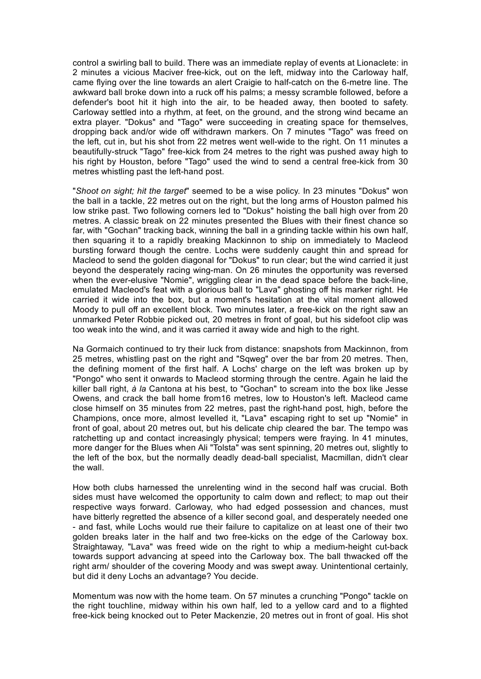control a swirling ball to build. There was an immediate replay of events at Lionaclete: in 2 minutes a vicious Maciver free-kick, out on the left, midway into the Carloway half, came flying over the line towards an alert Craigie to half-catch on the 6-metre line. The awkward ball broke down into a ruck off his palms; a messy scramble followed, before a defender's boot hit it high into the air, to be headed away, then booted to safety. Carloway settled into a rhythm, at feet, on the ground, and the strong wind became an extra player. "Dokus" and "Tago" were succeeding in creating space for themselves, dropping back and/or wide off withdrawn markers. On 7 minutes "Tago" was freed on the left, cut in, but his shot from 22 metres went well-wide to the right. On 11 minutes a beautifully-struck "Tago" free-kick from 24 metres to the right was pushed away high to his right by Houston, before "Tago" used the wind to send a central free-kick from 30 metres whistling past the left-hand post.

"*Shoot on sight; hit the target*" seemed to be a wise policy. In 23 minutes "Dokus" won the ball in a tackle, 22 metres out on the right, but the long arms of Houston palmed his low strike past. Two following corners led to "Dokus" hoisting the ball high over from 20 metres. A classic break on 22 minutes presented the Blues with their finest chance so far, with "Gochan" tracking back, winning the ball in a grinding tackle within his own half, then squaring it to a rapidly breaking Mackinnon to ship on immediately to Macleod bursting forward though the centre. Lochs were suddenly caught thin and spread for Macleod to send the golden diagonal for "Dokus" to run clear; but the wind carried it just beyond the desperately racing wing-man. On 26 minutes the opportunity was reversed when the ever-elusive "Nomie", wriggling clear in the dead space before the back-line, emulated Macleod's feat with a glorious ball to "Lava" ghosting off his marker right. He carried it wide into the box, but a moment's hesitation at the vital moment allowed Moody to pull off an excellent block. Two minutes later, a free-kick on the right saw an unmarked Peter Robbie picked out, 20 metres in front of goal, but his sidefoot clip was too weak into the wind, and it was carried it away wide and high to the right.

Na Gormaich continued to try their luck from distance: snapshots from Mackinnon, from 25 metres, whistling past on the right and "Sqweg" over the bar from 20 metres. Then, the defining moment of the first half. A Lochs' charge on the left was broken up by "Pongo" who sent it onwards to Macleod storming through the centre. Again he laid the killer ball right, *à la* Cantona at his best, to "Gochan" to scream into the box like Jesse Owens, and crack the ball home from16 metres, low to Houston's left. Macleod came close himself on 35 minutes from 22 metres, past the right-hand post, high, before the Champions, once more, almost levelled it, "Lava" escaping right to set up "Nomie" in front of goal, about 20 metres out, but his delicate chip cleared the bar. The tempo was ratchetting up and contact increasingly physical; tempers were fraying. In 41 minutes, more danger for the Blues when Ali "Tolsta" was sent spinning, 20 metres out, slightly to the left of the box, but the normally deadly dead-ball specialist, Macmillan, didn't clear the wall.

How both clubs harnessed the unrelenting wind in the second half was crucial. Both sides must have welcomed the opportunity to calm down and reflect; to map out their respective ways forward. Carloway, who had edged possession and chances, must have bitterly regretted the absence of a killer second goal, and desperately needed one - and fast, while Lochs would rue their failure to capitalize on at least one of their two golden breaks later in the half and two free-kicks on the edge of the Carloway box. Straightaway, "Lava" was freed wide on the right to whip a medium-height cut-back towards support advancing at speed into the Carloway box. The ball thwacked off the right arm/ shoulder of the covering Moody and was swept away. Unintentional certainly, but did it deny Lochs an advantage? You decide.

Momentum was now with the home team. On 57 minutes a crunching "Pongo" tackle on the right touchline, midway within his own half, led to a yellow card and to a flighted free-kick being knocked out to Peter Mackenzie, 20 metres out in front of goal. His shot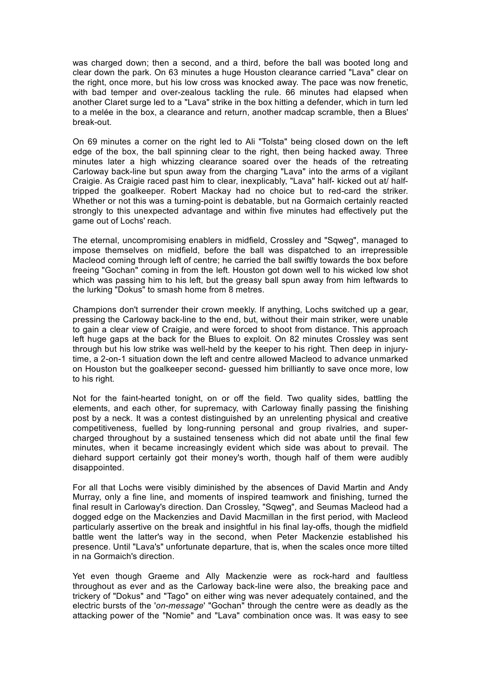was charged down; then a second, and a third, before the ball was booted long and clear down the park. On 63 minutes a huge Houston clearance carried "Lava" clear on the right, once more, but his low cross was knocked away. The pace was now frenetic, with bad temper and over-zealous tackling the rule. 66 minutes had elapsed when another Claret surge led to a "Lava" strike in the box hitting a defender, which in turn led to a melée in the box, a clearance and return, another madcap scramble, then a Blues' break-out.

On 69 minutes a corner on the right led to Ali "Tolsta" being closed down on the left edge of the box, the ball spinning clear to the right, then being hacked away. Three minutes later a high whizzing clearance soared over the heads of the retreating Carloway back-line but spun away from the charging "Lava" into the arms of a vigilant Craigie. As Craigie raced past him to clear, inexplicably, "Lava" half- kicked out at/ halftripped the goalkeeper. Robert Mackay had no choice but to red-card the striker. Whether or not this was a turning-point is debatable, but na Gormaich certainly reacted strongly to this unexpected advantage and within five minutes had effectively put the game out of Lochs' reach.

The eternal, uncompromising enablers in midfield, Crossley and "Sqweg", managed to impose themselves on midfield, before the ball was dispatched to an irrepressible Macleod coming through left of centre; he carried the ball swiftly towards the box before freeing "Gochan" coming in from the left. Houston got down well to his wicked low shot which was passing him to his left, but the greasy ball spun away from him leftwards to the lurking "Dokus" to smash home from 8 metres.

Champions don't surrender their crown meekly. If anything, Lochs switched up a gear, pressing the Carloway back-line to the end, but, without their main striker, were unable to gain a clear view of Craigie, and were forced to shoot from distance. This approach left huge gaps at the back for the Blues to exploit. On 82 minutes Crossley was sent through but his low strike was well-held by the keeper to his right. Then deep in injurytime, a 2-on-1 situation down the left and centre allowed Macleod to advance unmarked on Houston but the goalkeeper second- guessed him brilliantly to save once more, low to his right.

Not for the faint-hearted tonight, on or off the field. Two quality sides, battling the elements, and each other, for supremacy, with Carloway finally passing the finishing post by a neck. It was a contest distinguished by an unrelenting physical and creative competitiveness, fuelled by long-running personal and group rivalries, and supercharged throughout by a sustained tenseness which did not abate until the final few minutes, when it became increasingly evident which side was about to prevail. The diehard support certainly got their money's worth, though half of them were audibly disappointed.

For all that Lochs were visibly diminished by the absences of David Martin and Andy Murray, only a fine line, and moments of inspired teamwork and finishing, turned the final result in Carloway's direction. Dan Crossley, "Sqweg", and Seumas Macleod had a dogged edge on the Mackenzies and David Macmillan in the first period, with Macleod particularly assertive on the break and insightful in his final lay-offs, though the midfield battle went the latter's way in the second, when Peter Mackenzie established his presence. Until "Lava's" unfortunate departure, that is, when the scales once more tilted in na Gormaich's direction.

Yet even though Graeme and Ally Mackenzie were as rock-hard and faultless throughout as ever and as the Carloway back-line were also, the breaking pace and trickery of "Dokus" and "Tago" on either wing was never adequately contained, and the electric bursts of the '*on-message*' "Gochan" through the centre were as deadly as the attacking power of the "Nomie" and "Lava" combination once was. It was easy to see